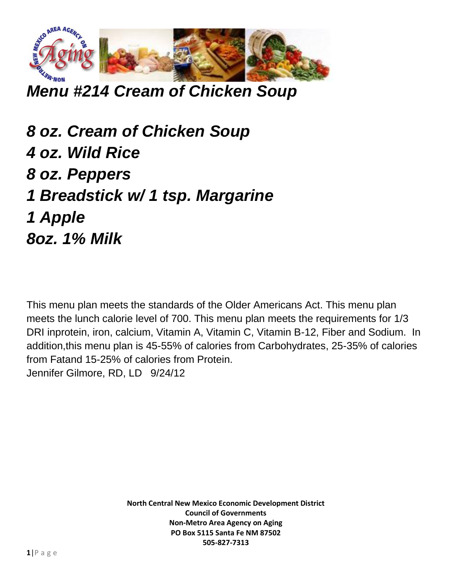

*Menu #214 Cream of Chicken Soup*

*8 oz. Cream of Chicken Soup 4 oz. Wild Rice 8 oz. Peppers 1 Breadstick w/ 1 tsp. Margarine 1 Apple 8oz. 1% Milk*

This menu plan meets the standards of the Older Americans Act. This menu plan meets the lunch calorie level of 700. This menu plan meets the requirements for 1/3 DRI inprotein, iron, calcium, Vitamin A, Vitamin C, Vitamin B-12, Fiber and Sodium. In addition,this menu plan is 45-55% of calories from Carbohydrates, 25-35% of calories from Fatand 15-25% of calories from Protein. Jennifer Gilmore, RD, LD 9/24/12

> **North Central New Mexico Economic Development District Council of Governments Non-Metro Area Agency on Aging PO Box 5115 Santa Fe NM 87502 505-827-7313**